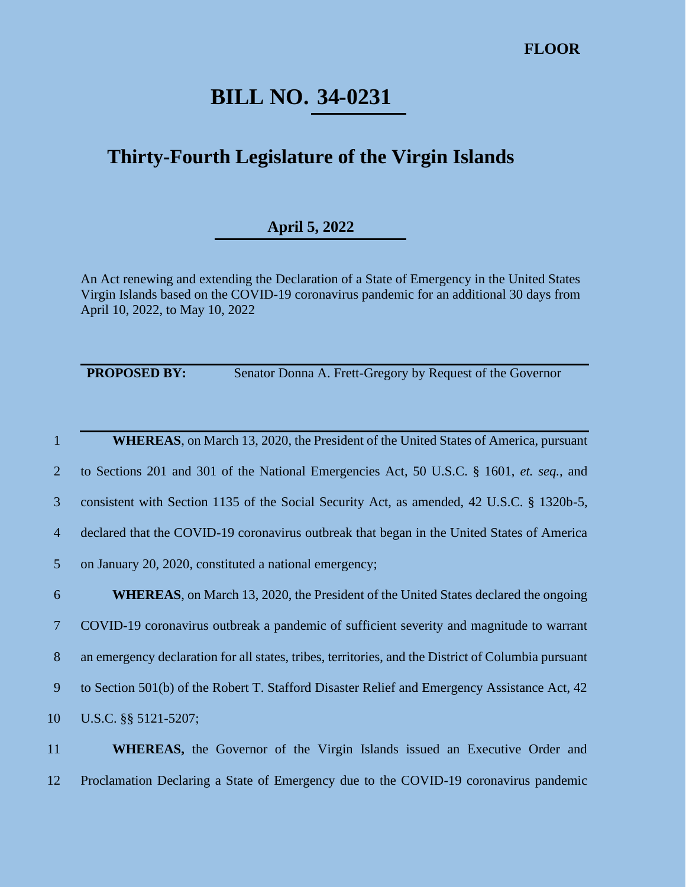## **BILL NO. 34-0231**

## **Thirty-Fourth Legislature of the Virgin Islands**

## **April 5, 2022**

An Act renewing and extending the Declaration of a State of Emergency in the United States Virgin Islands based on the COVID-19 coronavirus pandemic for an additional 30 days from April 10, 2022, to May 10, 2022

**PROPOSED BY:** Senator Donna A. Frett-Gregory by Request of the Governor

 **WHEREAS**, on March 13, 2020, the President of the United States of America, pursuant to Sections 201 and 301 of the National Emergencies Act, 50 U.S.C. § 1601, *et. seq.,* and consistent with Section 1135 of the Social Security Act, as amended, 42 U.S.C. § 1320b-5, declared that the COVID-19 coronavirus outbreak that began in the United States of America on January 20, 2020, constituted a national emergency;

 **WHEREAS**, on March 13, 2020, the President of the United States declared the ongoing COVID-19 coronavirus outbreak a pandemic of sufficient severity and magnitude to warrant an emergency declaration for all states, tribes, territories, and the District of Columbia pursuant to Section 501(b) of the Robert T. Stafford Disaster Relief and Emergency Assistance Act, 42 U.S.C. §§ 5121-5207;

11 **WHEREAS,** the Governor of the Virgin Islands issued an Executive Order and 12 Proclamation Declaring a State of Emergency due to the COVID-19 coronavirus pandemic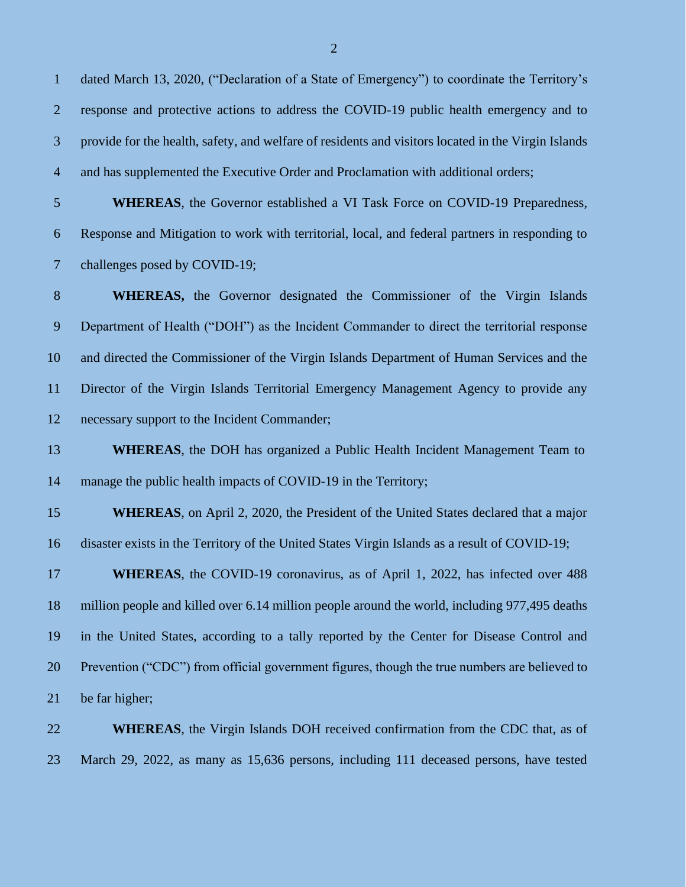dated March 13, 2020, ("Declaration of a State of Emergency") to coordinate the Territory's response and protective actions to address the COVID-19 public health emergency and to provide for the health, safety, and welfare of residents and visitors located in the Virgin Islands and has supplemented the Executive Order and Proclamation with additional orders; **WHEREAS**, the Governor established a VI Task Force on COVID-19 Preparedness,

Response and Mitigation to work with territorial, local, and federal partners in responding to

 challenges posed by COVID-19; **WHEREAS,** the Governor designated the Commissioner of the Virgin Islands Department of Health ("DOH") as the Incident Commander to direct the territorial response and directed the Commissioner of the Virgin Islands Department of Human Services and the Director of the Virgin Islands Territorial Emergency Management Agency to provide any necessary support to the Incident Commander;

**WHEREAS**, the DOH has organized a Public Health Incident Management Team to 14 manage the public health impacts of COVID-19 in the Territory;

 **WHEREAS**, on April 2, 2020, the President of the United States declared that a major disaster exists in the Territory of the United States Virgin Islands as a result of COVID-19;

 **WHEREAS**, the COVID-19 coronavirus, as of April 1, 2022, has infected over 488 million people and killed over 6.14 million people around the world, including 977,495 deaths in the United States, according to a tally reported by the Center for Disease Control and Prevention ("CDC") from official government figures, though the true numbers are believed to be far higher;

 **WHEREAS**, the Virgin Islands DOH received confirmation from the CDC that, as of March 29, 2022, as many as 15,636 persons, including 111 deceased persons, have tested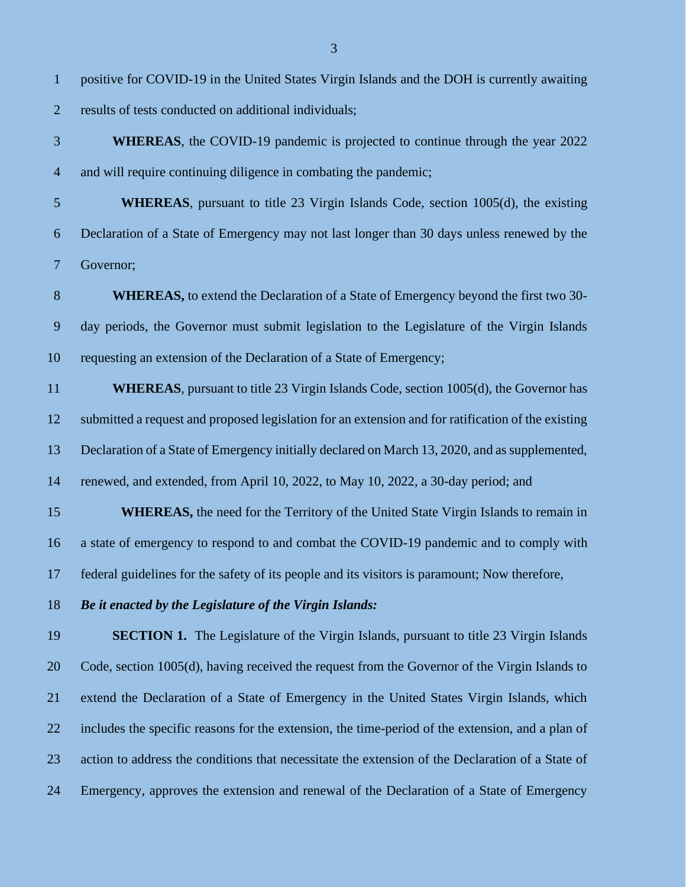- results of tests conducted on additional individuals;
- **WHEREAS**, the COVID-19 pandemic is projected to continue through the year 2022 and will require continuing diligence in combating the pandemic;
- **WHEREAS**, pursuant to title 23 Virgin Islands Code, section 1005(d), the existing Declaration of a State of Emergency may not last longer than 30 days unless renewed by the Governor;
- **WHEREAS,** to extend the Declaration of a State of Emergency beyond the first two 30- day periods, the Governor must submit legislation to the Legislature of the Virgin Islands requesting an extension of the Declaration of a State of Emergency;
- **WHEREAS**, pursuant to title 23 Virgin Islands Code, section 1005(d), the Governor has submitted a request and proposed legislation for an extension and for ratification of the existing Declaration of a State of Emergency initially declared on March 13, 2020, and as supplemented, renewed, and extended, from April 10, 2022, to May 10, 2022, a 30-day period; and
- **WHEREAS,** the need for the Territory of the United State Virgin Islands to remain in a state of emergency to respond to and combat the COVID-19 pandemic and to comply with federal guidelines for the safety of its people and its visitors is paramount; Now therefore,
- *Be it enacted by the Legislature of the Virgin Islands:*

 **SECTION 1.** The Legislature of the Virgin Islands, pursuant to title 23 Virgin Islands Code, section 1005(d), having received the request from the Governor of the Virgin Islands to extend the Declaration of a State of Emergency in the United States Virgin Islands, which includes the specific reasons for the extension, the time-period of the extension, and a plan of action to address the conditions that necessitate the extension of the Declaration of a State of Emergency, approves the extension and renewal of the Declaration of a State of Emergency